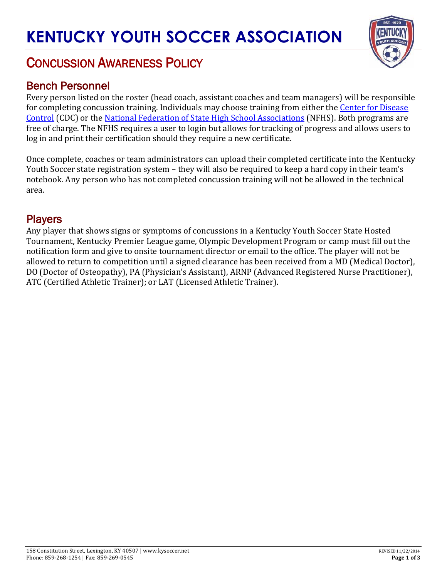# **KENTUCKY YOUTH SOCCER ASSOCIATION**

## CONCUSSION AWARENESS POLICY

#### Bench Personnel

Every person listed on the roster (head coach, assistant coaches and team managers) will be responsible for completing concussion training. Individuals may choose training from either the [Center for Disease](http://www.cdc.gov/headsup/youthsports/training/index.html) [Control](http://www.cdc.gov/headsup/youthsports/training/index.html) (CDC) or the [National Federation of State High School Associations](https://nfhslearn.com/courses/38000) (NFHS). Both programs are free of charge. The NFHS requires a user to login but allows for tracking of progress and allows users to log in and print their certification should they require a new certificate.

Once complete, coaches or team administrators can upload their completed certificate into the Kentucky Youth Soccer state registration system – they will also be required to keep a hard copy in their team's notebook. Any person who has not completed concussion training will not be allowed in the technical area.

#### **Players**

Any player that shows signs or symptoms of concussions in a Kentucky Youth Soccer State Hosted Tournament, Kentucky Premier League game, Olympic Development Program or camp must fill out the notification form and give to onsite tournament director or email to the office. The player will not be allowed to return to competition until a signed clearance has been received from a MD (Medical Doctor), DO (Doctor of Osteopathy), PA (Physician's Assistant), ARNP (Advanced Registered Nurse Practitioner), ATC (Certified Athletic Trainer); or LAT (Licensed Athletic Trainer).

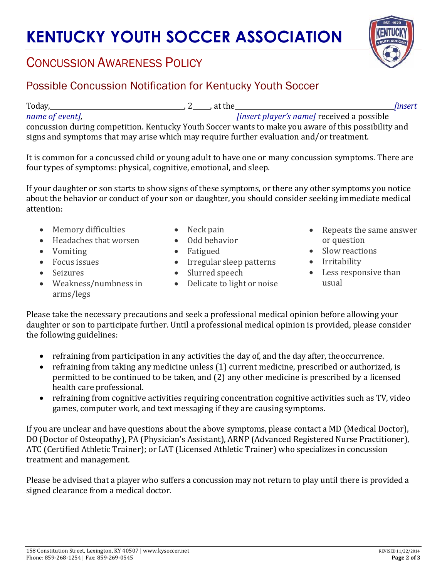# **KENTUCKY YOUTH SOCCER ASSOCIATION**

### CONCUSSION AWARENESS POLICY

#### Possible Concussion Notification for Kentucky Youth Soccer

| Today,                                                                                               |  | . at the |                                                   | <i>linsert</i> |  |
|------------------------------------------------------------------------------------------------------|--|----------|---------------------------------------------------|----------------|--|
| name of event],                                                                                      |  |          | <i>Sinsert player's namel received a possible</i> |                |  |
| concussion during competition. Kentucky Youth Soccer wants to make you aware of this possibility and |  |          |                                                   |                |  |
| signs and symptoms that may arise which may require further evaluation and/or treatment.             |  |          |                                                   |                |  |

It is common for a concussed child or young adult to have one or many concussion symptoms. There are four types of symptoms: physical, cognitive, emotional, and sleep.

If your daughter or son starts to show signs of these symptoms, or there any other symptoms you notice about the behavior or conduct of your son or daughter, you should consider seeking immediate medical attention:

- Memory difficulties
- Headaches that worsen
- Vomiting
- Focus issues
- Seizures
- Neck pain
- Odd behavior
- Fatigued
- Irregular sleep patterns
- Slurred speech
- Delicate to light or noise
- Repeats the same answer or question
- Slow reactions
- Irritability
- Less responsive than usual

• Weakness/numbness in arms/legs

Please take the necessary precautions and seek a professional medical opinion before allowing your daughter or son to participate further. Until a professional medical opinion is provided, please consider the following guidelines:

- refraining from participation in any activities the day of, and the day after, theoccurrence.
- refraining from taking any medicine unless (1) current medicine, prescribed or authorized, is permitted to be continued to be taken, and (2) any other medicine is prescribed by a licensed health care professional.
- refraining from cognitive activities requiring concentration cognitive activities such as TV, video games, computer work, and text messaging if they are causing symptoms.

If you are unclear and have questions about the above symptoms, please contact a MD (Medical Doctor), DO (Doctor of Osteopathy), PA (Physician's Assistant), ARNP (Advanced Registered Nurse Practitioner), ATC (Certified Athletic Trainer); or LAT (Licensed Athletic Trainer) who specializes in concussion treatment and management.

Please be advised that a player who suffers a concussion may not return to play until there is provided a signed clearance from a medical doctor.